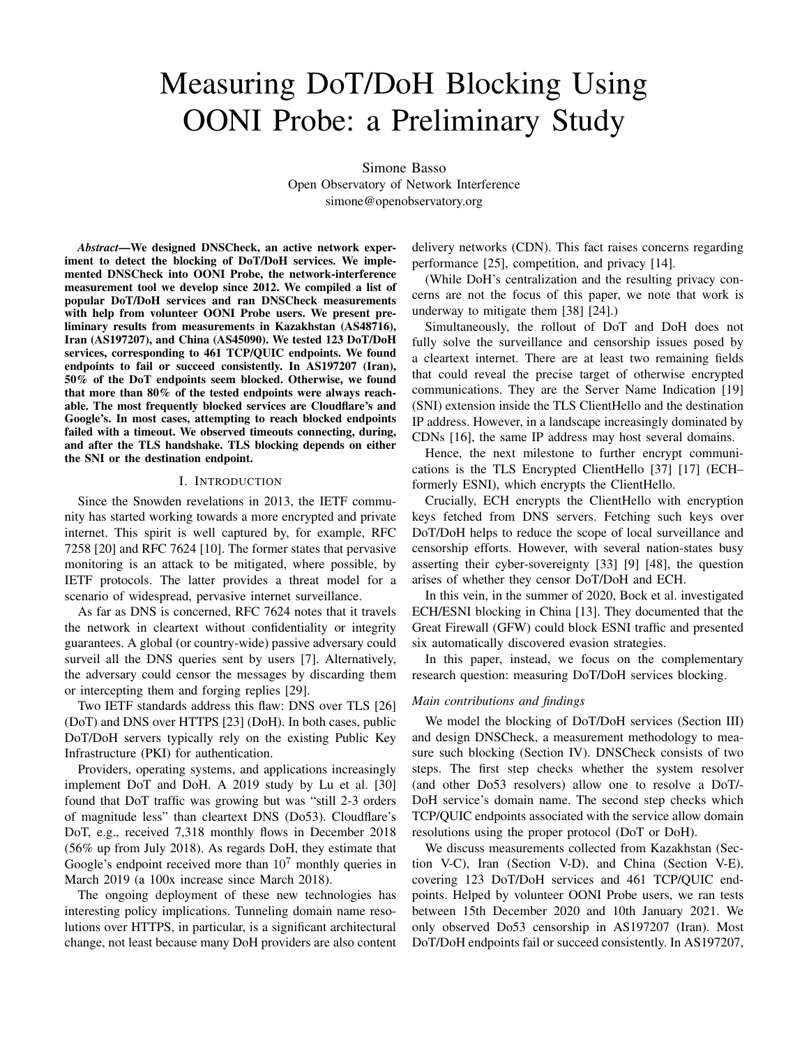# Measuring DoT/DoH Blocking Using OONI Probe: a Preliminary Study

Simone Basso Open Observatory of Network Interference simone@openobservatory.org

*Abstract*—We designed DNSCheck, an active network experiment to detect the blocking of DoT/DoH services. We implemented DNSCheck into OONI Probe, the network-interference measurement tool we develop since 2012. We compiled a list of popular DoT/DoH services and ran DNSCheck measurements with help from volunteer OONI Probe users. We present preliminary results from measurements in Kazakhstan (AS48716), Iran (AS197207), and China (AS45090). We tested 123 DoT/DoH services, corresponding to 461 TCP/QUIC endpoints. We found endpoints to fail or succeed consistently. In AS197207 (Iran), 50% of the DoT endpoints seem blocked. Otherwise, we found that more than 80% of the tested endpoints were always reachable. The most frequently blocked services are Cloudflare's and Google's. In most cases, attempting to reach blocked endpoints failed with a timeout. We observed timeouts connecting, during, and after the TLS handshake. TLS blocking depends on either the SNI or the destination endpoint.

#### I. INTRODUCTION

Since the Snowden revelations in 2013, the IETF community has started working towards a more encrypted and private internet. This spirit is well captured by, for example, RFC 7258 [20] and RFC 7624 [10]. The former states that pervasive monitoring is an attack to be mitigated, where possible, by IETF protocols. The latter provides a threat model for a scenario of widespread, pervasive internet surveillance.

As far as DNS is concerned, RFC 7624 notes that it travels the network in cleartext without confidentiality or integrity guarantees. A global (or country-wide) passive adversary could surveil all the DNS queries sent by users [7]. Alternatively, the adversary could censor the messages by discarding them or intercepting them and forging replies [29].

Two IETF standards address this flaw: DNS over TLS [26] (DoT) and DNS over HTTPS [23] (DoH). In both cases, public DoT/DoH servers typically rely on the existing Public Key Infrastructure (PKI) for authentication.

Providers, operating systems, and applications increasingly implement DoT and DoH. A 2019 study by Lu et al. [30] found that DoT traffic was growing but was "still 2-3 orders of magnitude less" than cleartext DNS (Do53). Cloudflare's DoT, e.g., received 7,318 monthly flows in December 2018 (56% up from July 2018). As regards DoH, they estimate that Google's endpoint received more than  $10<sup>7</sup>$  monthly queries in March 2019 (a 100x increase since March 2018).

The ongoing deployment of these new technologies has interesting policy implications. Tunneling domain name resolutions over HTTPS, in particular, is a significant architectural change, not least because many DoH providers are also content delivery networks (CDN). This fact raises concerns regarding performance [25], competition, and privacy [14].

(While DoH's centralization and the resulting privacy concerns are not the focus of this paper, we note that work is underway to mitigate them [38] [24].)

Simultaneously, the rollout of DoT and DoH does not fully solve the surveillance and censorship issues posed by a cleartext internet. There are at least two remaining fields that could reveal the precise target of otherwise encrypted communications. They are the Server Name Indication [19] (SNI) extension inside the TLS ClientHello and the destination IP address. However, in a landscape increasingly dominated by CDNs [16], the same IP address may host several domains.

Hence, the next milestone to further encrypt communications is the TLS Encrypted ClientHello [37] [17] (ECH– formerly ESNI), which encrypts the ClientHello.

Crucially, ECH encrypts the ClientHello with encryption keys fetched from DNS servers. Fetching such keys over DoT/DoH helps to reduce the scope of local surveillance and censorship efforts. However, with several nation-states busy asserting their cyber-sovereignty [33] [9] [48], the question arises of whether they censor DoT/DoH and ECH.

In this vein, in the summer of 2020, Bock et al. investigated ECH/ESNI blocking in China [13]. They documented that the Great Firewall (GFW) could block ESNI traffic and presented six automatically discovered evasion strategies.

In this paper, instead, we focus on the complementary research question: measuring DoT/DoH services blocking.

## *Main contributions and findings*

We model the blocking of DoT/DoH services (Section III) and design DNSCheck, a measurement methodology to measure such blocking (Section IV). DNSCheck consists of two steps. The first step checks whether the system resolver (and other Do53 resolvers) allow one to resolve a DoT/- DoH service's domain name. The second step checks which TCP/QUIC endpoints associated with the service allow domain resolutions using the proper protocol (DoT or DoH).

We discuss measurements collected from Kazakhstan (Section V-C), Iran (Section V-D), and China (Section V-E), covering 123 DoT/DoH services and 461 TCP/QUIC endpoints. Helped by volunteer OONI Probe users, we ran tests between 15th December 2020 and 10th January 2021. We only observed Do53 censorship in AS197207 (Iran). Most DoT/DoH endpoints fail or succeed consistently. In AS197207,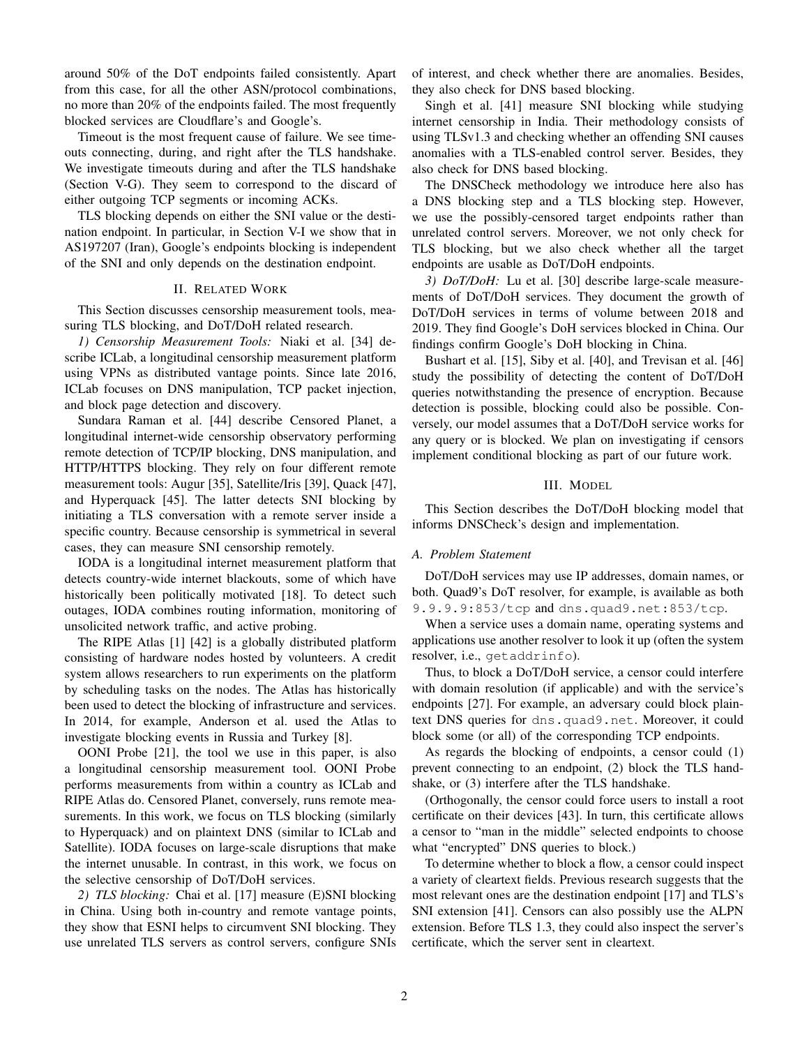around 50% of the DoT endpoints failed consistently. Apart from this case, for all the other ASN/protocol combinations, no more than 20% of the endpoints failed. The most frequently blocked services are Cloudflare's and Google's.

Timeout is the most frequent cause of failure. We see timeouts connecting, during, and right after the TLS handshake. We investigate timeouts during and after the TLS handshake (Section V-G). They seem to correspond to the discard of either outgoing TCP segments or incoming ACKs.

TLS blocking depends on either the SNI value or the destination endpoint. In particular, in Section V-I we show that in AS197207 (Iran), Google's endpoints blocking is independent of the SNI and only depends on the destination endpoint.

# II. RELATED WORK

This Section discusses censorship measurement tools, measuring TLS blocking, and DoT/DoH related research.

*1) Censorship Measurement Tools:* Niaki et al. [34] describe ICLab, a longitudinal censorship measurement platform using VPNs as distributed vantage points. Since late 2016, ICLab focuses on DNS manipulation, TCP packet injection, and block page detection and discovery.

Sundara Raman et al. [44] describe Censored Planet, a longitudinal internet-wide censorship observatory performing remote detection of TCP/IP blocking, DNS manipulation, and HTTP/HTTPS blocking. They rely on four different remote measurement tools: Augur [35], Satellite/Iris [39], Quack [47], and Hyperquack [45]. The latter detects SNI blocking by initiating a TLS conversation with a remote server inside a specific country. Because censorship is symmetrical in several cases, they can measure SNI censorship remotely.

IODA is a longitudinal internet measurement platform that detects country-wide internet blackouts, some of which have historically been politically motivated [18]. To detect such outages, IODA combines routing information, monitoring of unsolicited network traffic, and active probing.

The RIPE Atlas [1] [42] is a globally distributed platform consisting of hardware nodes hosted by volunteers. A credit system allows researchers to run experiments on the platform by scheduling tasks on the nodes. The Atlas has historically been used to detect the blocking of infrastructure and services. In 2014, for example, Anderson et al. used the Atlas to investigate blocking events in Russia and Turkey [8].

OONI Probe [21], the tool we use in this paper, is also a longitudinal censorship measurement tool. OONI Probe performs measurements from within a country as ICLab and RIPE Atlas do. Censored Planet, conversely, runs remote measurements. In this work, we focus on TLS blocking (similarly to Hyperquack) and on plaintext DNS (similar to ICLab and Satellite). IODA focuses on large-scale disruptions that make the internet unusable. In contrast, in this work, we focus on the selective censorship of DoT/DoH services.

*2) TLS blocking:* Chai et al. [17] measure (E)SNI blocking in China. Using both in-country and remote vantage points, they show that ESNI helps to circumvent SNI blocking. They use unrelated TLS servers as control servers, configure SNIs of interest, and check whether there are anomalies. Besides, they also check for DNS based blocking.

Singh et al. [41] measure SNI blocking while studying internet censorship in India. Their methodology consists of using TLSv1.3 and checking whether an offending SNI causes anomalies with a TLS-enabled control server. Besides, they also check for DNS based blocking.

The DNSCheck methodology we introduce here also has a DNS blocking step and a TLS blocking step. However, we use the possibly-censored target endpoints rather than unrelated control servers. Moreover, we not only check for TLS blocking, but we also check whether all the target endpoints are usable as DoT/DoH endpoints.

*3) DoT/DoH:* Lu et al. [30] describe large-scale measurements of DoT/DoH services. They document the growth of DoT/DoH services in terms of volume between 2018 and 2019. They find Google's DoH services blocked in China. Our findings confirm Google's DoH blocking in China.

Bushart et al. [15], Siby et al. [40], and Trevisan et al. [46] study the possibility of detecting the content of DoT/DoH queries notwithstanding the presence of encryption. Because detection is possible, blocking could also be possible. Conversely, our model assumes that a DoT/DoH service works for any query or is blocked. We plan on investigating if censors implement conditional blocking as part of our future work.

## III. MODEL

This Section describes the DoT/DoH blocking model that informs DNSCheck's design and implementation.

#### *A. Problem Statement*

DoT/DoH services may use IP addresses, domain names, or both. Quad9's DoT resolver, for example, is available as both 9.9.9.9:853/tcp and dns.quad9.net:853/tcp.

When a service uses a domain name, operating systems and applications use another resolver to look it up (often the system resolver, i.e., getaddrinfo).

Thus, to block a DoT/DoH service, a censor could interfere with domain resolution (if applicable) and with the service's endpoints [27]. For example, an adversary could block plaintext DNS queries for dns.quad9.net. Moreover, it could block some (or all) of the corresponding TCP endpoints.

As regards the blocking of endpoints, a censor could (1) prevent connecting to an endpoint, (2) block the TLS handshake, or (3) interfere after the TLS handshake.

(Orthogonally, the censor could force users to install a root certificate on their devices [43]. In turn, this certificate allows a censor to "man in the middle" selected endpoints to choose what "encrypted" DNS queries to block.)

To determine whether to block a flow, a censor could inspect a variety of cleartext fields. Previous research suggests that the most relevant ones are the destination endpoint [17] and TLS's SNI extension [41]. Censors can also possibly use the ALPN extension. Before TLS 1.3, they could also inspect the server's certificate, which the server sent in cleartext.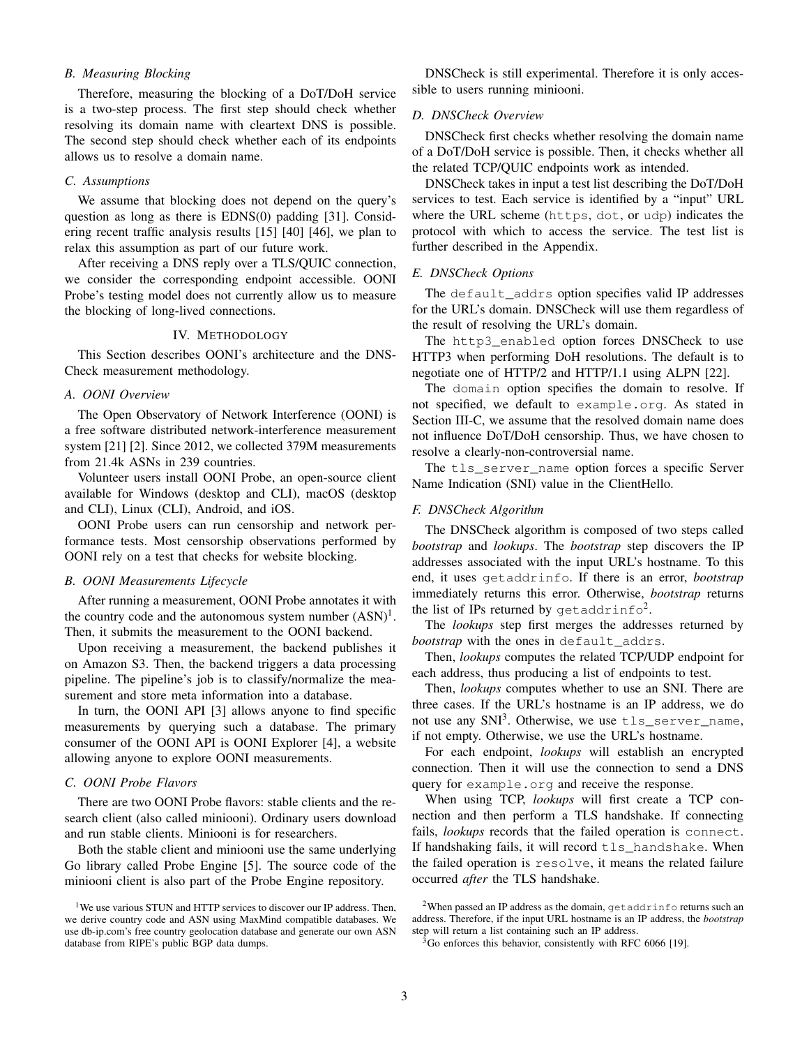# *B. Measuring Blocking*

Therefore, measuring the blocking of a DoT/DoH service is a two-step process. The first step should check whether resolving its domain name with cleartext DNS is possible. The second step should check whether each of its endpoints allows us to resolve a domain name.

# *C. Assumptions*

We assume that blocking does not depend on the query's question as long as there is EDNS(0) padding [31]. Considering recent traffic analysis results [15] [40] [46], we plan to relax this assumption as part of our future work.

After receiving a DNS reply over a TLS/QUIC connection, we consider the corresponding endpoint accessible. OONI Probe's testing model does not currently allow us to measure the blocking of long-lived connections.

## IV. METHODOLOGY

This Section describes OONI's architecture and the DNS-Check measurement methodology.

# *A. OONI Overview*

The Open Observatory of Network Interference (OONI) is a free software distributed network-interference measurement system [21] [2]. Since 2012, we collected 379M measurements from 21.4k ASNs in 239 countries.

Volunteer users install OONI Probe, an open-source client available for Windows (desktop and CLI), macOS (desktop and CLI), Linux (CLI), Android, and iOS.

OONI Probe users can run censorship and network performance tests. Most censorship observations performed by OONI rely on a test that checks for website blocking.

## *B. OONI Measurements Lifecycle*

After running a measurement, OONI Probe annotates it with the country code and the autonomous system number  $(ASN)^1$ . Then, it submits the measurement to the OONI backend.

Upon receiving a measurement, the backend publishes it on Amazon S3. Then, the backend triggers a data processing pipeline. The pipeline's job is to classify/normalize the measurement and store meta information into a database.

In turn, the OONI API [3] allows anyone to find specific measurements by querying such a database. The primary consumer of the OONI API is OONI Explorer [4], a website allowing anyone to explore OONI measurements.

# *C. OONI Probe Flavors*

There are two OONI Probe flavors: stable clients and the research client (also called miniooni). Ordinary users download and run stable clients. Miniooni is for researchers.

Both the stable client and miniooni use the same underlying Go library called Probe Engine [5]. The source code of the miniooni client is also part of the Probe Engine repository.

DNSCheck is still experimental. Therefore it is only accessible to users running miniooni.

## *D. DNSCheck Overview*

DNSCheck first checks whether resolving the domain name of a DoT/DoH service is possible. Then, it checks whether all the related TCP/QUIC endpoints work as intended.

DNSCheck takes in input a test list describing the DoT/DoH services to test. Each service is identified by a "input" URL where the URL scheme (https, dot, or udp) indicates the protocol with which to access the service. The test list is further described in the Appendix.

## *E. DNSCheck Options*

The default addrs option specifies valid IP addresses for the URL's domain. DNSCheck will use them regardless of the result of resolving the URL's domain.

The http3\_enabled option forces DNSCheck to use HTTP3 when performing DoH resolutions. The default is to negotiate one of HTTP/2 and HTTP/1.1 using ALPN [22].

The domain option specifies the domain to resolve. If not specified, we default to example.org. As stated in Section III-C, we assume that the resolved domain name does not influence DoT/DoH censorship. Thus, we have chosen to resolve a clearly-non-controversial name.

The tls\_server\_name\_option forces a specific Server Name Indication (SNI) value in the ClientHello.

# *F. DNSCheck Algorithm*

The DNSCheck algorithm is composed of two steps called *bootstrap* and *lookups*. The *bootstrap* step discovers the IP addresses associated with the input URL's hostname. To this end, it uses getaddrinfo. If there is an error, *bootstrap* immediately returns this error. Otherwise, *bootstrap* returns the list of IPs returned by getaddrinfo<sup>2</sup>.

The *lookups* step first merges the addresses returned by *bootstrap* with the ones in default addrs.

Then, *lookups* computes the related TCP/UDP endpoint for each address, thus producing a list of endpoints to test.

Then, *lookups* computes whether to use an SNI. There are three cases. If the URL's hostname is an IP address, we do not use any SNI<sup>3</sup>. Otherwise, we use  $\texttt{tls\_server\_name},$ if not empty. Otherwise, we use the URL's hostname.

For each endpoint, *lookups* will establish an encrypted connection. Then it will use the connection to send a DNS query for example.org and receive the response.

When using TCP, *lookups* will first create a TCP connection and then perform a TLS handshake. If connecting fails, *lookups* records that the failed operation is connect. If handshaking fails, it will record tls handshake. When the failed operation is resolve, it means the related failure occurred *after* the TLS handshake.

<sup>&</sup>lt;sup>1</sup>We use various STUN and HTTP services to discover our IP address. Then, we derive country code and ASN using MaxMind compatible databases. We use db-ip.com's free country geolocation database and generate our own ASN database from RIPE's public BGP data dumps.

<sup>&</sup>lt;sup>2</sup>When passed an IP address as the domain,  $q$ etaddrinfo returns such an address. Therefore, if the input URL hostname is an IP address, the *bootstrap* step will return a list containing such an IP address.

<sup>&</sup>lt;sup>3</sup>Go enforces this behavior, consistently with RFC 6066 [19].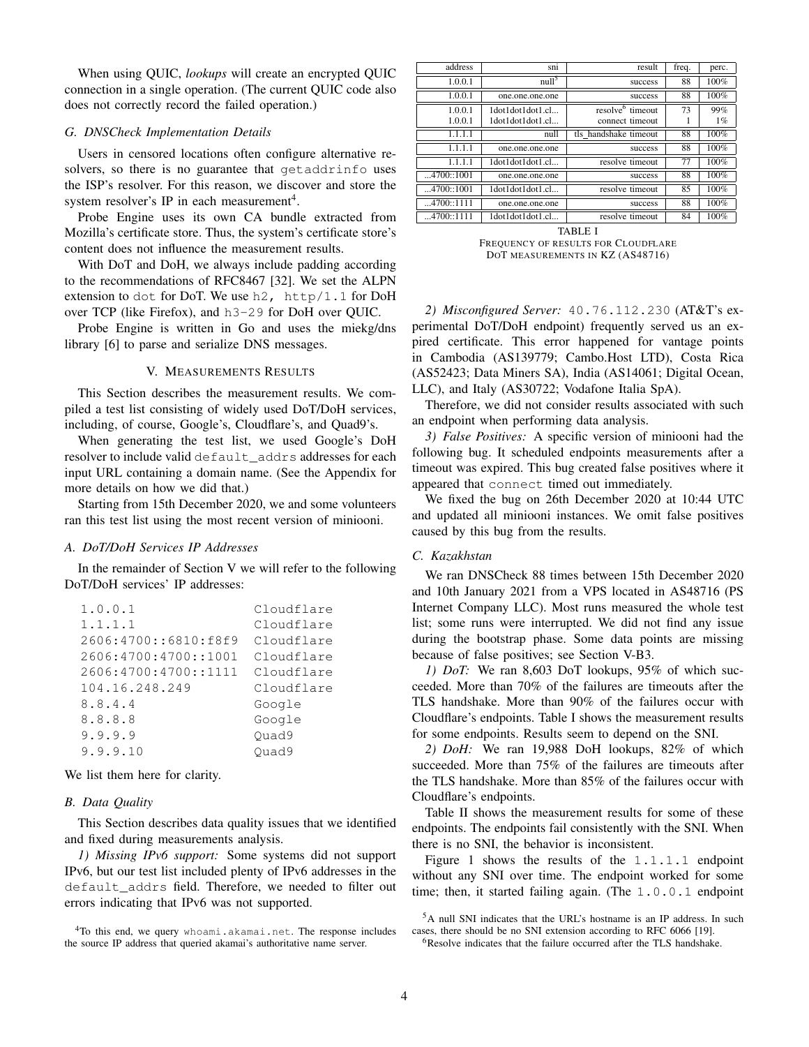When using QUIC, *lookups* will create an encrypted QUIC connection in a single operation. (The current QUIC code also does not correctly record the failed operation.)

# *G. DNSCheck Implementation Details*

Users in censored locations often configure alternative resolvers, so there is no guarantee that getaddrinfo uses the ISP's resolver. For this reason, we discover and store the system resolver's IP in each measurement<sup>4</sup>.

Probe Engine uses its own CA bundle extracted from Mozilla's certificate store. Thus, the system's certificate store's content does not influence the measurement results.

With DoT and DoH, we always include padding according to the recommendations of RFC8467 [32]. We set the ALPN extension to dot for DoT. We use  $h2$ ,  $http/1.1$  for DoH over TCP (like Firefox), and h3-29 for DoH over QUIC.

Probe Engine is written in Go and uses the miekg/dns library [6] to parse and serialize DNS messages.

## V. MEASUREMENTS RESULTS

This Section describes the measurement results. We compiled a test list consisting of widely used DoT/DoH services, including, of course, Google's, Cloudflare's, and Quad9's.

When generating the test list, we used Google's DoH resolver to include valid default\_addrs addresses for each input URL containing a domain name. (See the Appendix for more details on how we did that.)

Starting from 15th December 2020, we and some volunteers ran this test list using the most recent version of miniooni.

## *A. DoT/DoH Services IP Addresses*

In the remainder of Section V we will refer to the following DoT/DoH services' IP addresses:

| 1.0.0.1              | Cloudflare |
|----------------------|------------|
| 1.1.1.1              | Cloudflare |
| 2606:4700::6810:f8f9 | Cloudflare |
| 2606:4700:4700::1001 | Cloudflare |
| 2606:4700:4700::1111 | Cloudflare |
| 104.16.248.249       | Cloudflare |
| 8.8.4.4              | Google     |
| 8.8.8.8              | Google     |
| 9.9.9.9              | Ouad9      |
| 9.9.9.10             | Ouad9      |

We list them here for clarity.

#### *B. Data Quality*

This Section describes data quality issues that we identified and fixed during measurements analysis.

*1) Missing IPv6 support:* Some systems did not support IPv6, but our test list included plenty of IPv6 addresses in the default\_addrs field. Therefore, we needed to filter out errors indicating that IPv6 was not supported.

| address    | sn1               | result                       | freq. | perc. |
|------------|-------------------|------------------------------|-------|-------|
| 1.0.0.1    | null <sup>5</sup> | success                      | 88    | 100%  |
| 1.0.0.1    | one.one.one.one   | success                      | 88    | 100%  |
| 1.0.0.1    | 1dot1dot1dot1.cl  | resolve <sup>6</sup> timeout | 73    | 99%   |
| 1.0.0.1    | 1dot1dot1dot1.cl  | connect timeout              |       | $1\%$ |
| 1.1.1.1    | null              | tls handshake timeout        | 88    | 100%  |
| 1.1.1.1    | one.one.one.one   | success                      | 88    | 100%  |
| 1.1.1.1    | 1dot1dot1dot1.cl  | resolve timeout              | 77    | 100%  |
| 4700::1001 | one.one.one.one   | success                      | 88    | 100%  |
| 4700::1001 | 1dot1dot1dot1.cl  | resolve timeout              | 85    | 100%  |
| 4700::1111 | one.one.one.one   | success                      | 88    | 100%  |
| 4700::1111 | 1dot1dot1dot1.cl  | resolve timeout              | 84    | 100%  |

TABLE I FREQUENCY OF RESULTS FOR CLOUDFLARE DOT MEASUREMENTS IN KZ (AS48716)

*2) Misconfigured Server:* 40.76.112.230 (AT&T's experimental DoT/DoH endpoint) frequently served us an expired certificate. This error happened for vantage points in Cambodia (AS139779; Cambo.Host LTD), Costa Rica (AS52423; Data Miners SA), India (AS14061; Digital Ocean, LLC), and Italy (AS30722; Vodafone Italia SpA).

Therefore, we did not consider results associated with such an endpoint when performing data analysis.

*3) False Positives:* A specific version of miniooni had the following bug. It scheduled endpoints measurements after a timeout was expired. This bug created false positives where it appeared that connect timed out immediately.

We fixed the bug on 26th December 2020 at 10:44 UTC and updated all miniooni instances. We omit false positives caused by this bug from the results.

#### *C. Kazakhstan*

We ran DNSCheck 88 times between 15th December 2020 and 10th January 2021 from a VPS located in AS48716 (PS Internet Company LLC). Most runs measured the whole test list; some runs were interrupted. We did not find any issue during the bootstrap phase. Some data points are missing because of false positives; see Section V-B3.

*1) DoT:* We ran 8,603 DoT lookups, 95% of which succeeded. More than 70% of the failures are timeouts after the TLS handshake. More than 90% of the failures occur with Cloudflare's endpoints. Table I shows the measurement results for some endpoints. Results seem to depend on the SNI.

*2) DoH:* We ran 19,988 DoH lookups, 82% of which succeeded. More than 75% of the failures are timeouts after the TLS handshake. More than 85% of the failures occur with Cloudflare's endpoints.

Table II shows the measurement results for some of these endpoints. The endpoints fail consistently with the SNI. When there is no SNI, the behavior is inconsistent.

Figure 1 shows the results of the 1.1.1.1 endpoint without any SNI over time. The endpoint worked for some time; then, it started failing again. (The 1.0.0.1 endpoint

<sup>&</sup>lt;sup>4</sup>To this end, we query whoami.akamai.net. The response includes the source IP address that queried akamai's authoritative name server.

<sup>5</sup>A null SNI indicates that the URL's hostname is an IP address. In such cases, there should be no SNI extension according to RFC 6066 [19].

<sup>&</sup>lt;sup>6</sup>Resolve indicates that the failure occurred after the TLS handshake.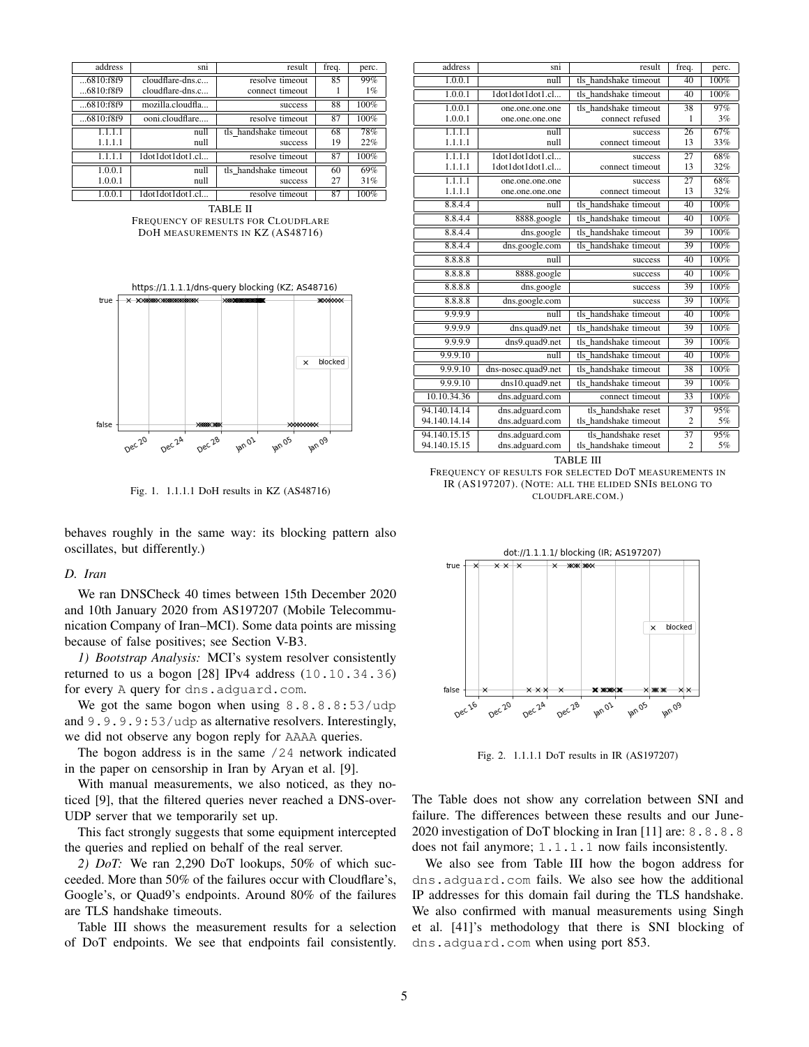| address      | sm                 | result                | freq. | perc. |
|--------------|--------------------|-----------------------|-------|-------|
| $6810:$ f8f9 | $cloudflare-dns.c$ | resolve timeout       | 85    | 99%   |
| 6810:f8f9    | $cloudflare-dns.c$ | connect timeout       |       | $1\%$ |
| $6810:$ f8f9 | mozilla.cloudfla   | success               | 88    | 100%  |
| $6810:$ f8f9 | ooni.cloudflare    | resolve timeout       | 87    | 100%  |
| 1.1.1.1      | null               | tls handshake timeout | 68    | 78%   |
| 1.1.1.1      | null               | success               | 19    | 22%   |
| 1.1.1.1      | 1dot1dot1dot1.cl   | resolve timeout       | 87    | 100%  |
| 1.0.0.1      | null               | tls handshake timeout | 60    | 69%   |
| 1.0.0.1      | null               | success               | 27    | 31%   |
| 1.0.0.1      | 1dot1dot1dot1.cl   | resolve timeout       | 87    | 100%  |

TABLE II FREQUENCY OF RESULTS FOR CLOUDFLARE DOH MEASUREMENTS IN KZ (AS48716)



Fig. 1. 1.1.1.1 DoH results in KZ (AS48716)

behaves roughly in the same way: its blocking pattern also oscillates, but differently.)

#### *D. Iran*

We ran DNSCheck 40 times between 15th December 2020 and 10th January 2020 from AS197207 (Mobile Telecommunication Company of Iran–MCI). Some data points are missing because of false positives; see Section V-B3.

*1) Bootstrap Analysis:* MCI's system resolver consistently returned to us a bogon  $[28]$  IPv4 address  $(10.10.34.36)$ for every A query for dns.adguard.com.

We got the same bogon when using 8.8.8.8:53/udp and 9.9.9.9:53/udp as alternative resolvers. Interestingly, we did not observe any bogon reply for AAAA queries.

The bogon address is in the same  $/24$  network indicated in the paper on censorship in Iran by Aryan et al. [9].

With manual measurements, we also noticed, as they noticed [9], that the filtered queries never reached a DNS-over-UDP server that we temporarily set up.

This fact strongly suggests that some equipment intercepted the queries and replied on behalf of the real server.

*2) DoT:* We ran 2,290 DoT lookups, 50% of which succeeded. More than 50% of the failures occur with Cloudflare's, Google's, or Quad9's endpoints. Around 80% of the failures are TLS handshake timeouts.

Table III shows the measurement results for a selection of DoT endpoints. We see that endpoints fail consistently.

| address      | sni                 | result                | freq.          | perc.                 |
|--------------|---------------------|-----------------------|----------------|-----------------------|
| 1.0.0.1      | null                | tls handshake timeout | 40             | 100%                  |
| 1.0.0.1      | 1dot1dot1dot1.cl    | tls handshake timeout | 40             | $\frac{100\%}{200\%}$ |
| 1.0.0.1      | one.one.one.one     | tls handshake timeout | 38             | 97%                   |
| 1.0.0.1      | one.one.one.one     | connect refused       | 1              | 3%                    |
| 1.1.1.1      | null                | success               | 26             | 67%                   |
| 1.1.1.1      | null                | connect timeout       | 13             | 33%                   |
| 1.1.1.1      | 1dot1dot1dot1.cl    | success               | 27             | 68%                   |
| 1.1.1.1      | 1dot1dot1dot1.cl    | connect timeout       | 13             | 32%                   |
| 1.1.1.1      | one.one.one.one     | success               | 27             | 68%                   |
| 1.1.1.1      | one.one.one.one     | connect timeout       | 13             | 32%                   |
| 8.8.4.4      | null                | tls_handshake_timeout | 40             | 100%                  |
| 8.8.4.4      | 8888.google         | tls handshake timeout | 40             | 100%                  |
| 8.8.4.4      | dns.google          | tls handshake timeout | 39             | 100%                  |
| 8.8.4.4      | dns.google.com      | tls_handshake_timeout | 39             | 100%                  |
| 8.8.8.8      | null                | success               | 40             | 100%                  |
| 8.8.8.8      | 8888.google         | success               | 40             | 100%                  |
| 8.8.8.8      | dns.google          | success               | 39             | 100%                  |
| 8.8.8.8      | dns.google.com      | success               | 39             | 100%                  |
| 9.9.9.9      | null                | tls_handshake_timeout | 40             | 100%                  |
| 9.9.9.9      | dns.quad9.net       | tls handshake timeout | 39             | 100%                  |
| 9.9.9.9      | dns9.quad9.net      | tls handshake timeout | 39             | 100%                  |
| 9.9.9.10     | null                | tls handshake timeout | 40             | 100%                  |
| 9.9.9.10     | dns-nosec.quad9.net | tls handshake timeout | 38             | 100%                  |
| 9.9.9.10     | dns10.quad9.net     | tls handshake timeout | 39             | 100%                  |
| 10.10.34.36  | dns.adguard.com     | connect timeout       | 33             | 100%                  |
| 94.140.14.14 | dns.adguard.com     | tls handshake reset   | 37             | 95%                   |
| 94.140.14.14 | dns.adguard.com     | tls handshake timeout | $\overline{2}$ | 5%                    |
| 94.140.15.15 | dns.adguard.com     | tls handshake reset   | 37             | 95%                   |
| 94.140.15.15 | dns.adguard.com     | tls handshake timeout | $\overline{2}$ | 5%                    |

TABLE III

FREQUENCY OF RESULTS FOR SELECTED DOT MEASUREMENTS IN IR (AS197207). (NOTE: ALL THE ELIDED SNIS BELONG TO CLOUDFLARE.COM.)



Fig. 2. 1.1.1.1 DoT results in IR (AS197207)

The Table does not show any correlation between SNI and failure. The differences between these results and our June-2020 investigation of DoT blocking in Iran [11] are: 8.8.8.8 does not fail anymore; 1.1.1.1 now fails inconsistently.

We also see from Table III how the bogon address for dns.adguard.com fails. We also see how the additional IP addresses for this domain fail during the TLS handshake. We also confirmed with manual measurements using Singh et al. [41]'s methodology that there is SNI blocking of dns.adguard.com when using port 853.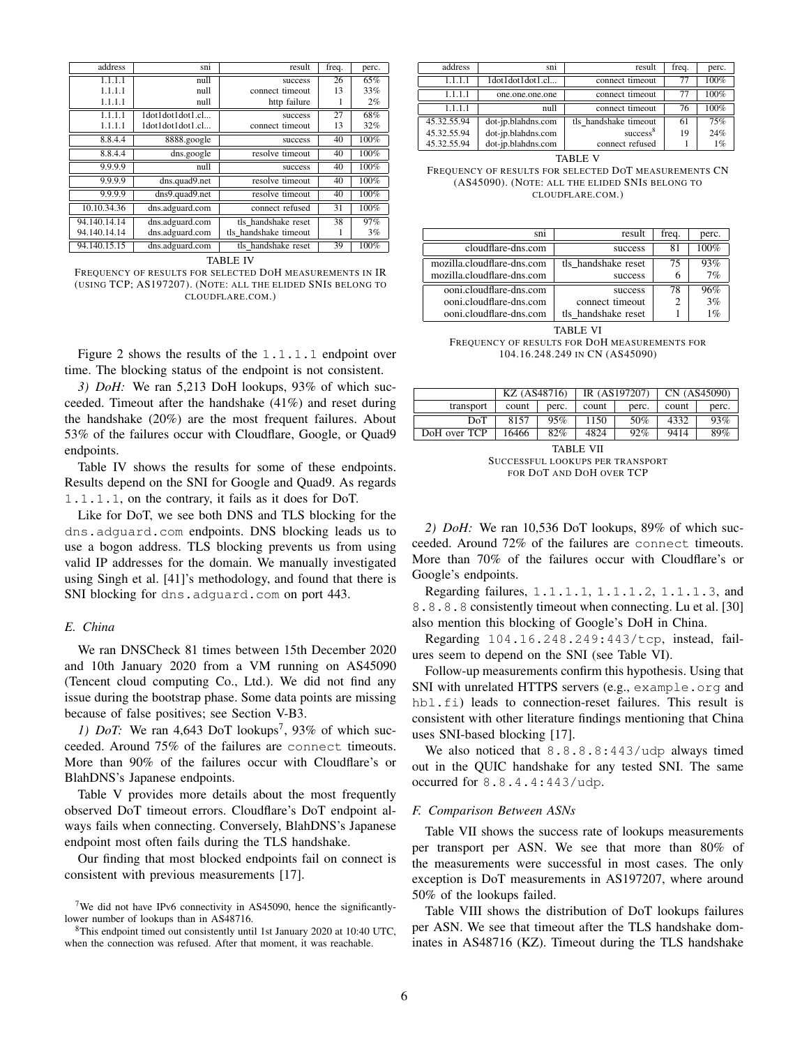| address      | sni              | result                | freq. | perc. |
|--------------|------------------|-----------------------|-------|-------|
| 1.1.1.1      | null             | success               | 26    | 65%   |
| 1.1.1.1      | null             | connect timeout       | 13    | 33%   |
| 1.1.1.1      | null             | http failure          | 1     | 2%    |
| 1.1.1.1      | 1dot1dot1dot1.cl | success               | 27    | 68%   |
| 1.1.1.1      | 1dot1dot1dot1.cl | connect timeout       | 13    | 32%   |
| 8.8.4.4      | 8888.google      | success               | 40    | 100%  |
| 8.8.4.4      | dns.google       | resolve timeout       | 40    | 100%  |
| 9.9.9.9      | null             | success               | 40    | 100%  |
| 9.9.9.9      | dns.quad9.net    | resolve timeout       | 40    | 100%  |
| 9.9.9.9      | dns9.quad9.net   | resolve timeout       | 40    | 100%  |
| 10.10.34.36  | dns.adguard.com  | connect refused       | 31    | 100%  |
| 94.140.14.14 | dns.adguard.com  | tls handshake reset   | 38    | 97%   |
| 94.140.14.14 | dns.adguard.com  | tls handshake timeout | 1     | 3%    |
| 94.140.15.15 | dns.adguard.com  | tls handshake reset   | 39    | 100%  |

TABLE IV

FREQUENCY OF RESULTS FOR SELECTED DOH MEASUREMENTS IN IR (USING TCP; AS197207). (NOTE: ALL THE ELIDED SNIS BELONG TO CLOUDFLARE.COM.)

Figure 2 shows the results of the 1.1.1.1 endpoint over time. The blocking status of the endpoint is not consistent.

*3) DoH:* We ran 5,213 DoH lookups, 93% of which succeeded. Timeout after the handshake (41%) and reset during the handshake (20%) are the most frequent failures. About 53% of the failures occur with Cloudflare, Google, or Quad9 endpoints.

Table IV shows the results for some of these endpoints. Results depend on the SNI for Google and Quad9. As regards 1.1.1.1, on the contrary, it fails as it does for DoT.

Like for DoT, we see both DNS and TLS blocking for the dns.adguard.com endpoints. DNS blocking leads us to use a bogon address. TLS blocking prevents us from using valid IP addresses for the domain. We manually investigated using Singh et al. [41]'s methodology, and found that there is SNI blocking for dns.adguard.com on port 443.

# *E. China*

We ran DNSCheck 81 times between 15th December 2020 and 10th January 2020 from a VM running on AS45090 (Tencent cloud computing Co., Ltd.). We did not find any issue during the bootstrap phase. Some data points are missing because of false positives; see Section V-B3.

1) *DoT:* We ran  $4,643$  DoT lookups<sup>7</sup>, 93% of which succeeded. Around 75% of the failures are connect timeouts. More than 90% of the failures occur with Cloudflare's or BlahDNS's Japanese endpoints.

Table V provides more details about the most frequently observed DoT timeout errors. Cloudflare's DoT endpoint always fails when connecting. Conversely, BlahDNS's Japanese endpoint most often fails during the TLS handshake.

Our finding that most blocked endpoints fail on connect is consistent with previous measurements [17].

| address     | sn <sub>1</sub>    | result                | freq. | perc. |
|-------------|--------------------|-----------------------|-------|-------|
| 1.1.1.1     | 1dot1dot1dot1.cl   | connect timeout       | 77    | 100%  |
| 1.1.1.1     | one.one.one.one    | connect timeout       | 77    | 100%  |
| 1.1.1.1     | mull               | connect timeout       | 76    | 100%  |
| 45.32.55.94 | dot-jp.blahdns.com | tls handshake timeout | 61    | 75%   |
| 45.32.55.94 | dot-jp.blahdns.com | success <sup>8</sup>  | 19    | 24%   |
| 45.32.55.94 | dot-jp.blahdns.com | connect refused       |       | $1\%$ |

TABLE V

FREQUENCY OF RESULTS FOR SELECTED DOT MEASUREMENTS CN (AS45090). (NOTE: ALL THE ELIDED SNIS BELONG TO CLOUDFLARE.COM.)

| S <sub>n1</sub>            | result              | frea. | perc. |
|----------------------------|---------------------|-------|-------|
| cloudflare-dns.com         | success             |       | 100%  |
| mozilla.cloudflare-dns.com | tls handshake reset | 75    | 93%   |
| mozilla.cloudflare-dns.com | success             |       | 7%    |
| ooni.cloudflare-dns.com    | success             | 78    | 96%   |
| ooni.cloudflare-dns.com    | connect timeout     |       | 3%    |
| ooni.cloudflare-dns.com    | tls handshake reset |       |       |

TABLE VI

FREQUENCY OF RESULTS FOR DOH MEASUREMENTS FOR 104.16.248.249 IN CN (AS45090)

|              | KZ (AS48716) |       |       | IR (AS197207) |       | CN (AS45090) |
|--------------|--------------|-------|-------|---------------|-------|--------------|
| transport    | count        | perc. | count | perc.         | count | perc.        |
| DoT          | 8157         | 95%   | 1150  | .50%          | 4332  | 93%          |
| DoH over TCP | 16466        | 82%   | 4824  | 92%           | 9414  | 89%          |

TABLE VII SUCCESSFUL LOOKUPS PER TRANSPORT FOR DOT AND DOH OVER TCP

*2) DoH:* We ran 10,536 DoT lookups, 89% of which succeeded. Around 72% of the failures are connect timeouts. More than 70% of the failures occur with Cloudflare's or Google's endpoints.

Regarding failures, 1.1.1.1, 1.1.1.2, 1.1.1.3, and 8.8.8.8 consistently timeout when connecting. Lu et al. [30] also mention this blocking of Google's DoH in China.

Regarding 104.16.248.249:443/tcp, instead, failures seem to depend on the SNI (see Table VI).

Follow-up measurements confirm this hypothesis. Using that SNI with unrelated HTTPS servers (e.g., example.org and hbl.fi) leads to connection-reset failures. This result is consistent with other literature findings mentioning that China uses SNI-based blocking [17].

We also noticed that  $8.8.8.8:443/\text{udp}$  always timed out in the QUIC handshake for any tested SNI. The same occurred for 8.8.4.4:443/udp.

#### *F. Comparison Between ASNs*

Table VII shows the success rate of lookups measurements per transport per ASN. We see that more than 80% of the measurements were successful in most cases. The only exception is DoT measurements in AS197207, where around 50% of the lookups failed.

Table VIII shows the distribution of DoT lookups failures per ASN. We see that timeout after the TLS handshake dominates in AS48716 (KZ). Timeout during the TLS handshake

<sup>&</sup>lt;sup>7</sup>We did not have IPv6 connectivity in AS45090, hence the significantlylower number of lookups than in AS48716.

<sup>8</sup>This endpoint timed out consistently until 1st January 2020 at 10:40 UTC, when the connection was refused. After that moment, it was reachable.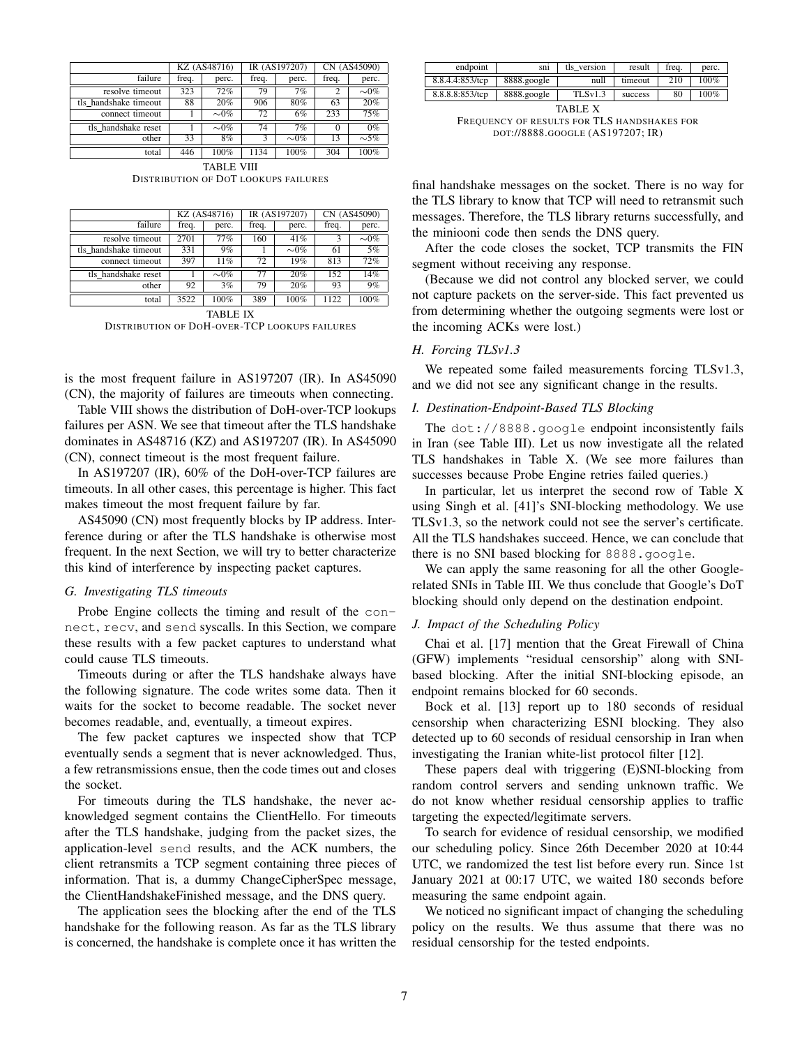|                       |       | KZ (AS48716) |       | IR (AS197207) |        | CN (AS45090) |  |
|-----------------------|-------|--------------|-------|---------------|--------|--------------|--|
| failure               | freq. | perc.        | freq. | perc.         | freq.  | perc.        |  |
| resolve timeout       | 323   | 72%          | 79    | 7%            |        | $\sim 0\%$   |  |
| tls handshake timeout | 88    | 20%          | 906   | 80%           | 63     | 20%          |  |
| connect timeout       |       | $\sim 0\%$   | 72    | 6%            | 233    | 75%          |  |
| tls handshake reset   |       | $\sim 0\%$   | 74    | 7%            | $_{0}$ | $0\%$        |  |
| other                 | 33    | 8%           | 3     | $\sim 0\%$    | 13     | $\sim$ 5%    |  |
| total                 | 446   | 100%         | 1134  | 100%          | 304    | 100%         |  |

TABLE VIII DISTRIBUTION OF DOT LOOKUPS FAILURES

|                       |       | KZ (AS48716) |       | IR (AS197207) |       | CN (AS45090) |
|-----------------------|-------|--------------|-------|---------------|-------|--------------|
| failure               | freq. | perc.        | freq. | perc.         | freq. | perc.        |
| resolve timeout       | 2701  | 77%          | 160   | 41%           |       | $\sim 0\%$   |
| tls handshake timeout | 331   | 9%           |       | $\sim 0\%$    | 61    | 5%           |
| connect timeout       | 397   | 11%          | 72    | 19%           | 813   | 72%          |
| tls handshake reset   |       | $\sim 0\%$   | 77    | 20%           | 152   | 14%          |
| other                 | 92    | 3%           | 79    | 20%           | 93    | 9%           |
| total                 | 3522  | 100%         | 389   | 100%          | 1122  | 100%         |

TABLE IX DISTRIBUTION OF DOH-OVER-TCP LOOKUPS FAILURES

is the most frequent failure in AS197207 (IR). In AS45090 (CN), the majority of failures are timeouts when connecting.

Table VIII shows the distribution of DoH-over-TCP lookups failures per ASN. We see that timeout after the TLS handshake dominates in AS48716 (KZ) and AS197207 (IR). In AS45090 (CN), connect timeout is the most frequent failure.

In AS197207 (IR), 60% of the DoH-over-TCP failures are timeouts. In all other cases, this percentage is higher. This fact makes timeout the most frequent failure by far.

AS45090 (CN) most frequently blocks by IP address. Interference during or after the TLS handshake is otherwise most frequent. In the next Section, we will try to better characterize this kind of interference by inspecting packet captures.

## *G. Investigating TLS timeouts*

Probe Engine collects the timing and result of the connect, recv, and send syscalls. In this Section, we compare these results with a few packet captures to understand what could cause TLS timeouts.

Timeouts during or after the TLS handshake always have the following signature. The code writes some data. Then it waits for the socket to become readable. The socket never becomes readable, and, eventually, a timeout expires.

The few packet captures we inspected show that TCP eventually sends a segment that is never acknowledged. Thus, a few retransmissions ensue, then the code times out and closes the socket.

For timeouts during the TLS handshake, the never acknowledged segment contains the ClientHello. For timeouts after the TLS handshake, judging from the packet sizes, the application-level send results, and the ACK numbers, the client retransmits a TCP segment containing three pieces of information. That is, a dummy ChangeCipherSpec message, the ClientHandshakeFinished message, and the DNS query.

The application sees the blocking after the end of the TLS handshake for the following reason. As far as the TLS library is concerned, the handshake is complete once it has written the

| endpoint        | sni         | tls version | result  | freq. | perc. |
|-----------------|-------------|-------------|---------|-------|-------|
| 8.8.4.4:853/tcp | 8888.google | null        | timeout | 210   | 100%  |
| 8.8.8.8:853/tcp | 8888.google | TLS v1.3    | success | 80    | 100%  |

TABLE X FREQUENCY OF RESULTS FOR TLS HANDSHAKES FOR DOT://8888.GOOGLE (AS197207; IR)

final handshake messages on the socket. There is no way for the TLS library to know that TCP will need to retransmit such messages. Therefore, the TLS library returns successfully, and the miniooni code then sends the DNS query.

After the code closes the socket, TCP transmits the FIN segment without receiving any response.

(Because we did not control any blocked server, we could not capture packets on the server-side. This fact prevented us from determining whether the outgoing segments were lost or the incoming ACKs were lost.)

# *H. Forcing TLSv1.3*

We repeated some failed measurements forcing TLSv1.3, and we did not see any significant change in the results.

# *I. Destination-Endpoint-Based TLS Blocking*

The dot://8888.google endpoint inconsistently fails in Iran (see Table III). Let us now investigate all the related TLS handshakes in Table X. (We see more failures than successes because Probe Engine retries failed queries.)

In particular, let us interpret the second row of Table X using Singh et al. [41]'s SNI-blocking methodology. We use TLSv1.3, so the network could not see the server's certificate. All the TLS handshakes succeed. Hence, we can conclude that there is no SNI based blocking for 8888.google.

We can apply the same reasoning for all the other Googlerelated SNIs in Table III. We thus conclude that Google's DoT blocking should only depend on the destination endpoint.

# *J. Impact of the Scheduling Policy*

Chai et al. [17] mention that the Great Firewall of China (GFW) implements "residual censorship" along with SNIbased blocking. After the initial SNI-blocking episode, an endpoint remains blocked for 60 seconds.

Bock et al. [13] report up to 180 seconds of residual censorship when characterizing ESNI blocking. They also detected up to 60 seconds of residual censorship in Iran when investigating the Iranian white-list protocol filter [12].

These papers deal with triggering (E)SNI-blocking from random control servers and sending unknown traffic. We do not know whether residual censorship applies to traffic targeting the expected/legitimate servers.

To search for evidence of residual censorship, we modified our scheduling policy. Since 26th December 2020 at 10:44 UTC, we randomized the test list before every run. Since 1st January 2021 at 00:17 UTC, we waited 180 seconds before measuring the same endpoint again.

We noticed no significant impact of changing the scheduling policy on the results. We thus assume that there was no residual censorship for the tested endpoints.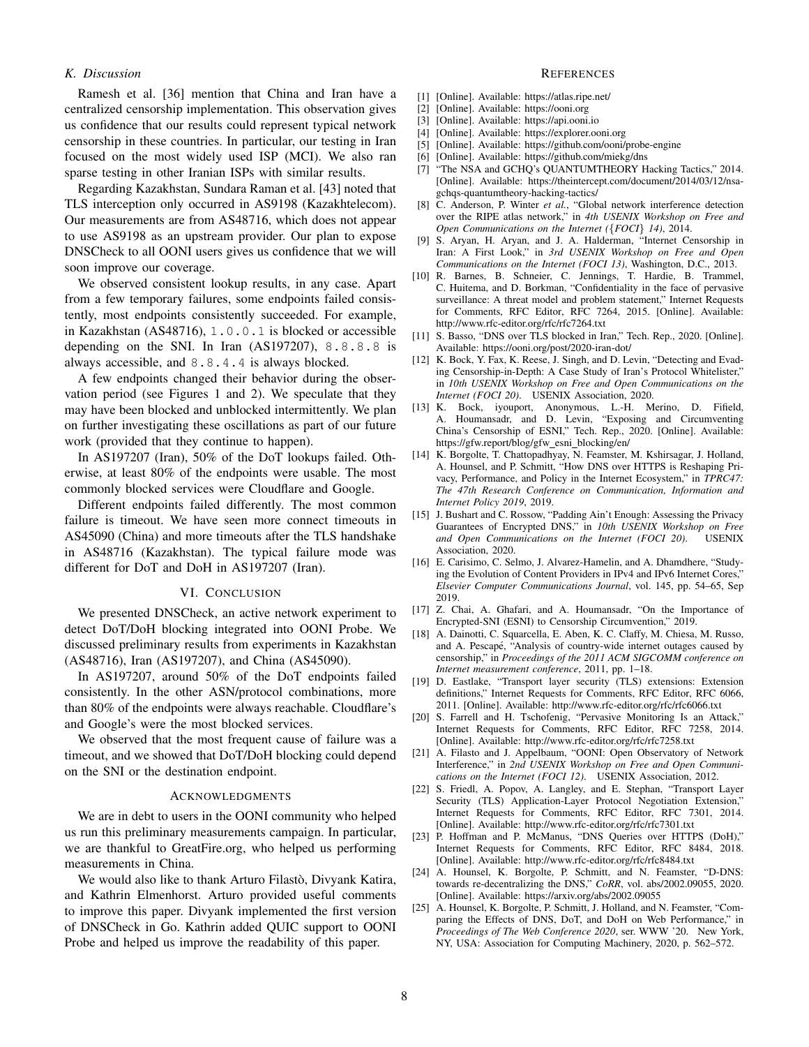# *K. Discussion*

Ramesh et al. [36] mention that China and Iran have a centralized censorship implementation. This observation gives us confidence that our results could represent typical network censorship in these countries. In particular, our testing in Iran focused on the most widely used ISP (MCI). We also ran sparse testing in other Iranian ISPs with similar results.

Regarding Kazakhstan, Sundara Raman et al. [43] noted that TLS interception only occurred in AS9198 (Kazakhtelecom). Our measurements are from AS48716, which does not appear to use AS9198 as an upstream provider. Our plan to expose DNSCheck to all OONI users gives us confidence that we will soon improve our coverage.

We observed consistent lookup results, in any case. Apart from a few temporary failures, some endpoints failed consistently, most endpoints consistently succeeded. For example, in Kazakhstan (AS48716), 1.0.0.1 is blocked or accessible depending on the SNI. In Iran (AS197207), 8.8.8.8 is always accessible, and 8.8.4.4 is always blocked.

A few endpoints changed their behavior during the observation period (see Figures 1 and 2). We speculate that they may have been blocked and unblocked intermittently. We plan on further investigating these oscillations as part of our future work (provided that they continue to happen).

In AS197207 (Iran), 50% of the DoT lookups failed. Otherwise, at least 80% of the endpoints were usable. The most commonly blocked services were Cloudflare and Google.

Different endpoints failed differently. The most common failure is timeout. We have seen more connect timeouts in AS45090 (China) and more timeouts after the TLS handshake in AS48716 (Kazakhstan). The typical failure mode was different for DoT and DoH in AS197207 (Iran).

### VI. CONCLUSION

We presented DNSCheck, an active network experiment to detect DoT/DoH blocking integrated into OONI Probe. We discussed preliminary results from experiments in Kazakhstan (AS48716), Iran (AS197207), and China (AS45090).

In AS197207, around 50% of the DoT endpoints failed consistently. In the other ASN/protocol combinations, more than 80% of the endpoints were always reachable. Cloudflare's and Google's were the most blocked services.

We observed that the most frequent cause of failure was a timeout, and we showed that DoT/DoH blocking could depend on the SNI or the destination endpoint.

## ACKNOWLEDGMENTS

We are in debt to users in the OONI community who helped us run this preliminary measurements campaign. In particular, we are thankful to GreatFire.org, who helped us performing measurements in China.

We would also like to thank Arturo Filastò, Divyank Katira, and Kathrin Elmenhorst. Arturo provided useful comments to improve this paper. Divyank implemented the first version of DNSCheck in Go. Kathrin added QUIC support to OONI Probe and helped us improve the readability of this paper.

#### **REFERENCES**

- [1] [Online]. Available: https://atlas.ripe.net/
- [2] [Online]. Available: https://ooni.org
- [3] [Online]. Available: https://api.ooni.io
- [4] [Online]. Available: https://explorer.ooni.org
- [5] [Online]. Available: https://github.com/ooni/probe-engine
- [6] [Online]. Available: https://github.com/miekg/dns
- [7] "The NSA and GCHQ's QUANTUMTHEORY Hacking Tactics," 2014. [Online]. Available: https://theintercept.com/document/2014/03/12/nsagchqs-quantumtheory-hacking-tactics/
- [8] C. Anderson, P. Winter *et al.*, "Global network interference detection over the RIPE atlas network," in *4th USENIX Workshop on Free and Open Communications on the Internet (*{*FOCI*} *14)*, 2014.
- [9] S. Aryan, H. Aryan, and J. A. Halderman, "Internet Censorship in Iran: A First Look," in *3rd USENIX Workshop on Free and Open Communications on the Internet (FOCI 13)*, Washington, D.C., 2013.
- [10] R. Barnes, B. Schneier, C. Jennings, T. Hardie, B. Trammel, C. Huitema, and D. Borkman, "Confidentiality in the face of pervasive surveillance: A threat model and problem statement," Internet Requests for Comments, RFC Editor, RFC 7264, 2015. [Online]. Available: http://www.rfc-editor.org/rfc/rfc7264.txt
- [11] S. Basso, "DNS over TLS blocked in Iran," Tech. Rep., 2020. [Online]. Available: https://ooni.org/post/2020-iran-dot/
- [12] K. Bock, Y. Fax, K. Reese, J. Singh, and D. Levin, "Detecting and Evading Censorship-in-Depth: A Case Study of Iran's Protocol Whitelister," in *10th USENIX Workshop on Free and Open Communications on the Internet (FOCI 20)*. USENIX Association, 2020.
- [13] K. Bock, iyouport, Anonymous, L.-H. Merino, D. Fifield, A. Houmansadr, and D. Levin, "Exposing and Circumventing China's Censorship of ESNI," Tech. Rep., 2020. [Online]. Available: https://gfw.report/blog/gfw\_esni\_blocking/en/
- [14] K. Borgolte, T. Chattopadhyay, N. Feamster, M. Kshirsagar, J. Holland, A. Hounsel, and P. Schmitt, "How DNS over HTTPS is Reshaping Privacy, Performance, and Policy in the Internet Ecosystem," in *TPRC47: The 47th Research Conference on Communication, Information and Internet Policy 2019*, 2019.
- [15] J. Bushart and C. Rossow, "Padding Ain't Enough: Assessing the Privacy Guarantees of Encrypted DNS," in *10th USENIX Workshop on Free*<br>and Open Communications on the Internet (FOCI 20) USENIX and Open Communications on the Internet (FOCI 20). Association, 2020.
- [16] E. Carisimo, C. Selmo, J. Alvarez-Hamelin, and A. Dhamdhere, "Studying the Evolution of Content Providers in IPv4 and IPv6 Internet Cores," *Elsevier Computer Communications Journal*, vol. 145, pp. 54–65, Sep 2019.
- [17] Z. Chai, A. Ghafari, and A. Houmansadr, "On the Importance of Encrypted-SNI (ESNI) to Censorship Circumvention," 2019.
- [18] A. Dainotti, C. Squarcella, E. Aben, K. C. Claffy, M. Chiesa, M. Russo, and A. Pescapé, "Analysis of country-wide internet outages caused by censorship," in *Proceedings of the 2011 ACM SIGCOMM conference on Internet measurement conference*, 2011, pp. 1–18.
- [19] D. Eastlake, "Transport layer security (TLS) extensions: Extension definitions," Internet Requests for Comments, RFC Editor, RFC 6066, 2011. [Online]. Available: http://www.rfc-editor.org/rfc/rfc6066.txt
- [20] S. Farrell and H. Tschofenig, "Pervasive Monitoring Is an Attack," Internet Requests for Comments, RFC Editor, RFC 7258, 2014. [Online]. Available: http://www.rfc-editor.org/rfc/rfc7258.txt
- [21] A. Filasto and J. Appelbaum, "OONI: Open Observatory of Network Interference," in *2nd USENIX Workshop on Free and Open Communications on the Internet (FOCI 12)*. USENIX Association, 2012.
- [22] S. Friedl, A. Popov, A. Langley, and E. Stephan, "Transport Layer Security (TLS) Application-Layer Protocol Negotiation Extension," Internet Requests for Comments, RFC Editor, RFC 7301, 2014. [Online]. Available: http://www.rfc-editor.org/rfc/rfc7301.txt
- [23] P. Hoffman and P. McManus, "DNS Queries over HTTPS (DoH)," Internet Requests for Comments, RFC Editor, RFC 8484, 2018. [Online]. Available: http://www.rfc-editor.org/rfc/rfc8484.txt
- [24] A. Hounsel, K. Borgolte, P. Schmitt, and N. Feamster, "D-DNS: towards re-decentralizing the DNS," *CoRR*, vol. abs/2002.09055, 2020. [Online]. Available: https://arxiv.org/abs/2002.09055
- [25] A. Hounsel, K. Borgolte, P. Schmitt, J. Holland, and N. Feamster, "Comparing the Effects of DNS, DoT, and DoH on Web Performance," in *Proceedings of The Web Conference 2020*, ser. WWW '20. New York, NY, USA: Association for Computing Machinery, 2020, p. 562–572.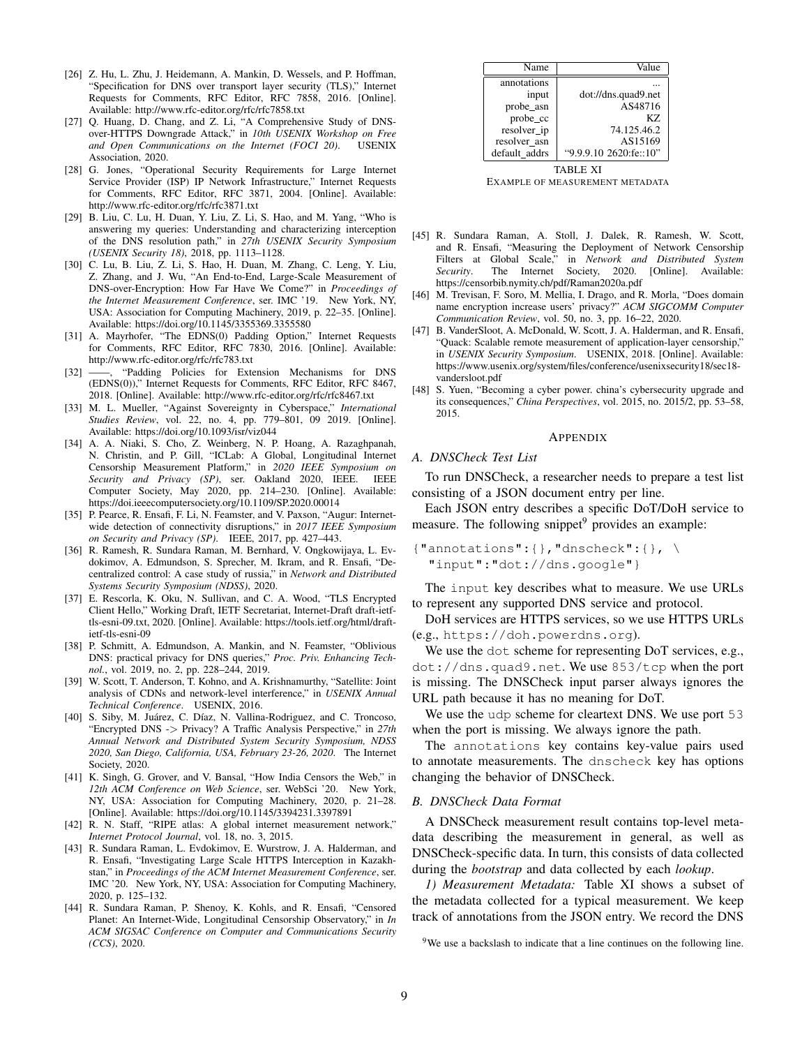- [26] Z. Hu, L. Zhu, J. Heidemann, A. Mankin, D. Wessels, and P. Hoffman, "Specification for DNS over transport layer security (TLS)," Internet Requests for Comments, RFC Editor, RFC 7858, 2016. [Online]. Available: http://www.rfc-editor.org/rfc/rfc7858.txt
- [27] Q. Huang, D. Chang, and Z. Li, "A Comprehensive Study of DNSover-HTTPS Downgrade Attack," in *10th USENIX Workshop on Free* and Open Communications on the Internet (FOCI 20). Association, 2020.
- [28] G. Jones, "Operational Security Requirements for Large Internet Service Provider (ISP) IP Network Infrastructure," Internet Requests for Comments, RFC Editor, RFC 3871, 2004. [Online]. Available: http://www.rfc-editor.org/rfc/rfc3871.txt
- [29] B. Liu, C. Lu, H. Duan, Y. Liu, Z. Li, S. Hao, and M. Yang, "Who is answering my queries: Understanding and characterizing interception of the DNS resolution path," in *27th USENIX Security Symposium (USENIX Security 18)*, 2018, pp. 1113–1128.
- [30] C. Lu, B. Liu, Z. Li, S. Hao, H. Duan, M. Zhang, C. Leng, Y. Liu, Z. Zhang, and J. Wu, "An End-to-End, Large-Scale Measurement of DNS-over-Encryption: How Far Have We Come?" in *Proceedings of the Internet Measurement Conference*, ser. IMC '19. New York, NY, USA: Association for Computing Machinery, 2019, p. 22–35. [Online]. Available: https://doi.org/10.1145/3355369.3355580
- [31] A. Mayrhofer, "The EDNS(0) Padding Option," Internet Requests for Comments, RFC Editor, RFC 7830, 2016. [Online]. Available: http://www.rfc-editor.org/rfc/rfc783.txt
- [32] ——, "Padding Policies for Extension Mechanisms for DNS (EDNS(0))," Internet Requests for Comments, RFC Editor, RFC 8467, 2018. [Online]. Available: http://www.rfc-editor.org/rfc/rfc8467.txt
- [33] M. L. Mueller, "Against Sovereignty in Cyberspace," *International Studies Review*, vol. 22, no. 4, pp. 779–801, 09 2019. [Online]. Available: https://doi.org/10.1093/isr/viz044
- [34] A. A. Niaki, S. Cho, Z. Weinberg, N. P. Hoang, A. Razaghpanah, N. Christin, and P. Gill, "ICLab: A Global, Longitudinal Internet Censorship Measurement Platform," in *2020 IEEE Symposium on Security and Privacy (SP)*, ser. Oakland 2020, IEEE. IEEE Computer Society, May 2020, pp. 214–230. [Online]. Available: https://doi.ieeecomputersociety.org/10.1109/SP.2020.00014
- [35] P. Pearce, R. Ensafi, F. Li, N. Feamster, and V. Paxson, "Augur: Internetwide detection of connectivity disruptions," in *2017 IEEE Symposium on Security and Privacy (SP)*. IEEE, 2017, pp. 427–443.
- [36] R. Ramesh, R. Sundara Raman, M. Bernhard, V. Ongkowijaya, L. Evdokimov, A. Edmundson, S. Sprecher, M. Ikram, and R. Ensafi, "Decentralized control: A case study of russia," in *Network and Distributed Systems Security Symposium (NDSS)*, 2020.
- [37] E. Rescorla, K. Oku, N. Sullivan, and C. A. Wood, "TLS Encrypted Client Hello," Working Draft, IETF Secretariat, Internet-Draft draft-ietftls-esni-09.txt, 2020. [Online]. Available: https://tools.ietf.org/html/draftietf-tls-esni-09
- [38] P. Schmitt, A. Edmundson, A. Mankin, and N. Feamster, "Oblivious DNS: practical privacy for DNS queries," *Proc. Priv. Enhancing Technol.*, vol. 2019, no. 2, pp. 228–244, 2019.
- [39] W. Scott, T. Anderson, T. Kohno, and A. Krishnamurthy, "Satellite: Joint analysis of CDNs and network-level interference," in *USENIX Annual Technical Conference*. USENIX, 2016.
- [40] S. Siby, M. Juárez, C. Díaz, N. Vallina-Rodriguez, and C. Troncoso, "Encrypted DNS -> Privacy? A Traffic Analysis Perspective," in *27th Annual Network and Distributed System Security Symposium, NDSS 2020, San Diego, California, USA, February 23-26, 2020*. The Internet Society, 2020.
- [41] K. Singh, G. Grover, and V. Bansal, "How India Censors the Web," in *12th ACM Conference on Web Science*, ser. WebSci '20. New York, NY, USA: Association for Computing Machinery, 2020, p. 21–28. [Online]. Available: https://doi.org/10.1145/3394231.3397891
- [42] R. N. Staff, "RIPE atlas: A global internet measurement network," *Internet Protocol Journal*, vol. 18, no. 3, 2015.
- [43] R. Sundara Raman, L. Evdokimov, E. Wurstrow, J. A. Halderman, and R. Ensafi, "Investigating Large Scale HTTPS Interception in Kazakhstan," in *Proceedings of the ACM Internet Measurement Conference*, ser. IMC '20. New York, NY, USA: Association for Computing Machinery, 2020, p. 125–132.
- [44] R. Sundara Raman, P. Shenoy, K. Kohls, and R. Ensafi, "Censored Planet: An Internet-Wide, Longitudinal Censorship Observatory," in *In ACM SIGSAC Conference on Computer and Communications Security (CCS)*, 2020.

| Name          | Value                  |  |  |  |
|---------------|------------------------|--|--|--|
| annotations   |                        |  |  |  |
| input         | dot://dns.quad9.net    |  |  |  |
| probe_asn     | AS48716                |  |  |  |
| probe_cc      | K7.                    |  |  |  |
| resolver ip   | 74.125.46.2            |  |  |  |
| resolver asn  | AS15169                |  |  |  |
| default addrs | "9.9.9.10 2620:fe::10" |  |  |  |
| TABLE XI      |                        |  |  |  |

EXAMPLE OF MEASUREMENT METADATA

- [45] R. Sundara Raman, A. Stoll, J. Dalek, R. Ramesh, W. Scott, and R. Ensafi, "Measuring the Deployment of Network Censorship<br>Filters at Global Scale," in Network and Distributed System in *Network and Distributed System Security*. The Internet Society, 2020. [Online]. Available: https://censorbib.nymity.ch/pdf/Raman2020a.pdf
- [46] M. Trevisan, F. Soro, M. Mellia, I. Drago, and R. Morla, "Does domain name encryption increase users' privacy?" *ACM SIGCOMM Computer Communication Review*, vol. 50, no. 3, pp. 16–22, 2020.
- [47] B. VanderSloot, A. McDonald, W. Scott, J. A. Halderman, and R. Ensafi, "Quack: Scalable remote measurement of application-layer censorship," in *USENIX Security Symposium*. USENIX, 2018. [Online]. Available: https://www.usenix.org/system/files/conference/usenixsecurity18/sec18 vandersloot.pdf
- [48] S. Yuen, "Becoming a cyber power. china's cybersecurity upgrade and its consequences," *China Perspectives*, vol. 2015, no. 2015/2, pp. 53–58, 2015.

# APPENDIX

#### *A. DNSCheck Test List*

To run DNSCheck, a researcher needs to prepare a test list consisting of a JSON document entry per line.

Each JSON entry describes a specific DoT/DoH service to measure. The following snippet $9$  provides an example:

```
{\texttt{\{}}\} annotations": { }, "dnscheck": { }, \
  "input":"dot://dns.google"}
```
The input key describes what to measure. We use URLs to represent any supported DNS service and protocol.

DoH services are HTTPS services, so we use HTTPS URLs (e.g., https://doh.powerdns.org).

We use the dot scheme for representing DoT services, e.g., dot://dns.quad9.net. We use 853/tcp when the port is missing. The DNSCheck input parser always ignores the URL path because it has no meaning for DoT.

We use the udp scheme for cleartext DNS. We use port 53 when the port is missing. We always ignore the path.

The annotations key contains key-value pairs used to annotate measurements. The dnscheck key has options changing the behavior of DNSCheck.

#### *B. DNSCheck Data Format*

A DNSCheck measurement result contains top-level metadata describing the measurement in general, as well as DNSCheck-specific data. In turn, this consists of data collected during the *bootstrap* and data collected by each *lookup*.

*1) Measurement Metadata:* Table XI shows a subset of the metadata collected for a typical measurement. We keep track of annotations from the JSON entry. We record the DNS

<sup>&</sup>lt;sup>9</sup>We use a backslash to indicate that a line continues on the following line.